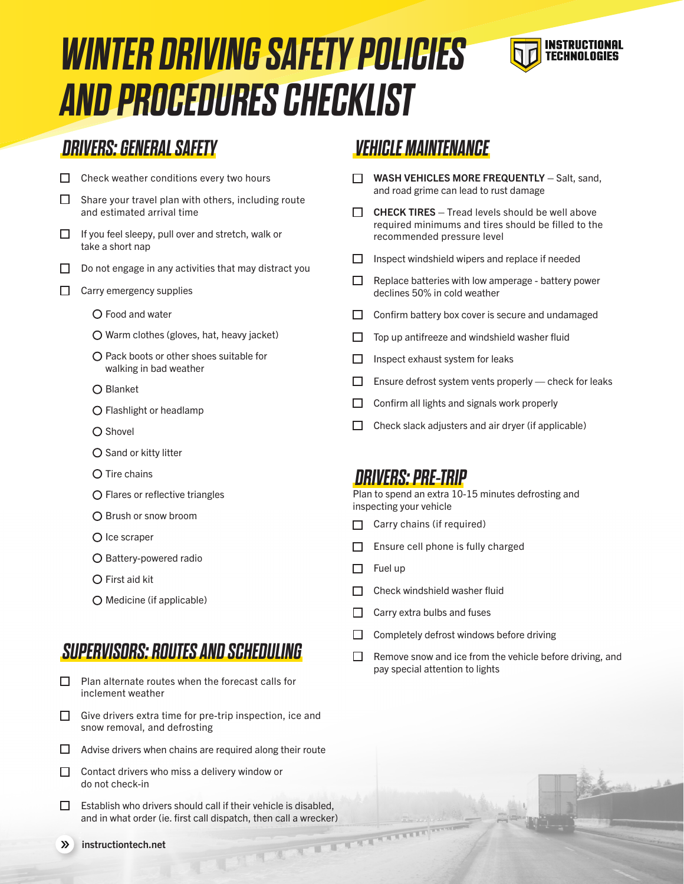# *WINTER DRIVING SAFETY POLICIES AND PROCEDURES CHECKLIST*



## *DRIVERS: GENERAL SAFETY*

- $\Box$  Check weather conditions every two hours  $\Box$  Share your travel plan with others, including route and estimated arrival time  $\Box$  If you feel sleepy, pull over and stretch, walk or take a short nap  $\Box$  Do not engage in any activities that may distract you
- $\Box$  Carry emergency supplies
	- Food and water
	- Warm clothes (gloves, hat, heavy jacket)
	- O Pack boots or other shoes suitable for walking in bad weather
	- Blanket
	- Flashlight or headlamp
	- O Shovel
	- $O$  Sand or kitty litter
	- O Tire chains
	- Flares or reflective triangles
	- Brush or snow broom
	- $O$  Ice scraper
	- O Battery-powered radio
	- $\bigcap$  First aid kit
	- O Medicine (if applicable)

#### *SUPERVISORS: ROUTES AND SCHEDULING*

- $\Box$ Plan alternate routes when the forecast calls for inclement weather
- $\Box$  Give drivers extra time for pre-trip inspection, ice and snow removal, and defrosting
- $\Box$  Advise drivers when chains are required along their route
- $\Box$  Contact drivers who miss a delivery window or do not check-in
- $\Box$  Establish who drivers should call if their vehicle is disabled, and in what order (ie. first call dispatch, then call a wrecker)<br>instructiontech.net

#### *VEHICLE MAINTENANCE*

- $\Box$  WASH VEHICLES MORE FREQUENTLY Salt, sand, and road grime can lead to rust damage
- $\Box$  CHECK TIRES Tread levels should be well above required minimums and tires should be filled to the recommended pressure level
- $\Box$  Inspect windshield wipers and replace if needed
- $\Box$  Replace batteries with low amperage battery power declines 50% in cold weather
- $\Box$  Confirm battery box cover is secure and undamaged
- $\Box$  Top up antifreeze and windshield washer fluid
- $\Box$  Inspect exhaust system for leaks
- $\Box$  Ensure defrost system vents properly check for leaks
- $\Box$  Confirm all lights and signals work properly
- $\Box$  Check slack adjusters and air dryer (if applicable)

#### *DRIVERS: PRE-TRIP*

Plan to spend an extra 10-15 minutes defrosting and inspecting your vehicle

- $\Box$  Carry chains (if required)
- $\Box$  Ensure cell phone is fully charged
- $\Box$  Fuel up
- $\Box$  Check windshield washer fluid
- $\Box$  Carry extra bulbs and fuses
- $\Box$  Completely defrost windows before driving
- $\Box$ Remove snow and ice from the vehicle before driving, and pay special attention to lights

 $\mathcal{P}$ instructiontech.net